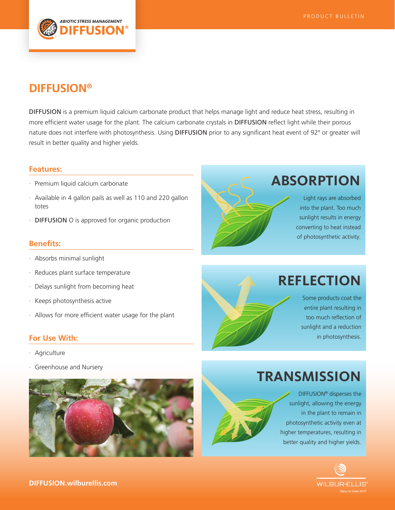

### **DIFFUSION®**

DIFFUSION is a premium liquid calcium carbonate product that helps manage light and reduce heat stress, resulting in more efficient water usage for the plant. The calcium carbonate crystals in DIFFUSION reflect light while their porous nature does not interfere with photosynthesis. Using DIFFUSION prior to any significant heat event of 92° or greater will result in better quality and higher yields.

#### **Features:**

- · Premium liquid calcium carbonate
- · Available in 4 gallon pails as well as 110 and 220 gallon totes
- · DIFFUSION O is approved for organic production

### **Benefits:**

- · Absorbs minimal sunlight
- · Reduces plant surface temperature
- · Delays sunlight from becoming heat
- · Keeps photosynthesis active
- · Allows for more efficient water usage for the plant

### **For Use With:**

- · Agriculture
- Greenhouse and Nursery





# **ABSORPTION**

Light rays are absorbed into the plant. Too much sunlight results in energy converting to heat instead of photosynthetic activity.

## **REFLECTION**

Some products coat the entire plant resulting in too much reflection of sunlight and a reduction in photosynthesis.

# **TRANSMISSION**

DIFFUSION® disperses the sunlight, allowing the energy in the plant to remain in photosynthetic activity even at higher temperatures, resulting in better quality and higher yields.